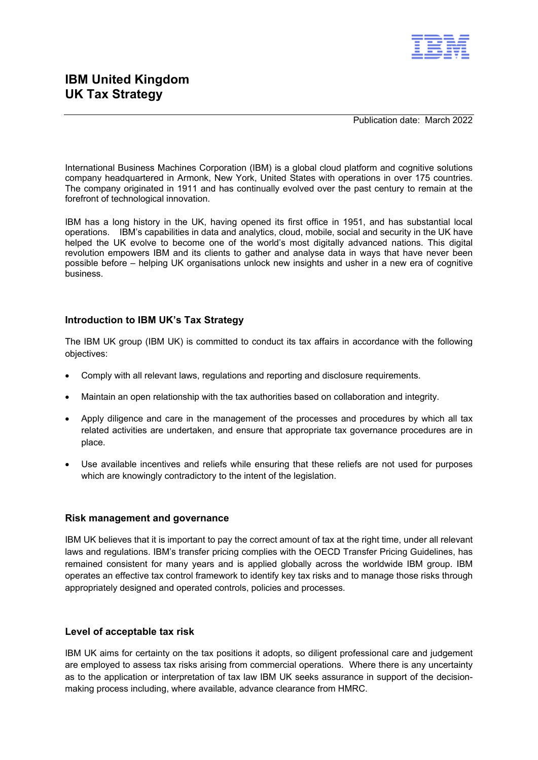

Publication date: March 2022

International Business Machines Corporation (IBM) is a global cloud platform and cognitive solutions company headquartered in Armonk, New York, United States with operations in over 175 countries. The company originated in 1911 and has continually evolved over the past century to remain at the forefront of technological innovation.

IBM has a long history in the UK, having opened its first office in 1951, and has substantial local operations. IBM's capabilities in data and analytics, cloud, mobile, social and security in the UK have helped the UK evolve to become one of the world's most digitally advanced nations. This digital revolution empowers IBM and its clients to gather and analyse data in ways that have never been possible before – helping UK organisations unlock new insights and usher in a new era of cognitive **business** 

### **Introduction to IBM UK's Tax Strategy**

The IBM UK group (IBM UK) is committed to conduct its tax affairs in accordance with the following objectives:

- Comply with all relevant laws, regulations and reporting and disclosure requirements.
- Maintain an open relationship with the tax authorities based on collaboration and integrity.
- Apply diligence and care in the management of the processes and procedures by which all tax related activities are undertaken, and ensure that appropriate tax governance procedures are in place.
- Use available incentives and reliefs while ensuring that these reliefs are not used for purposes which are knowingly contradictory to the intent of the legislation.

#### **Risk management and governance**

IBM UK believes that it is important to pay the correct amount of tax at the right time, under all relevant laws and regulations. IBM's transfer pricing complies with the OECD Transfer Pricing Guidelines, has remained consistent for many years and is applied globally across the worldwide IBM group. IBM operates an effective tax control framework to identify key tax risks and to manage those risks through appropriately designed and operated controls, policies and processes.

#### **Level of acceptable tax risk**

IBM UK aims for certainty on the tax positions it adopts, so diligent professional care and judgement are employed to assess tax risks arising from commercial operations. Where there is any uncertainty as to the application or interpretation of tax law IBM UK seeks assurance in support of the decisionmaking process including, where available, advance clearance from HMRC.